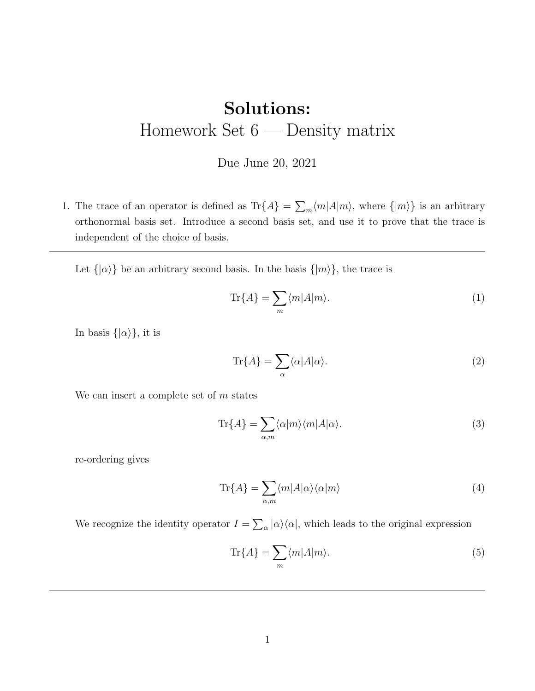## Solutions: Homework Set 6 — Density matrix

## Due June 20, 2021

1. The trace of an operator is defined as  $\text{Tr}\{A\} = \sum_m \langle m|A|m\rangle$ , where  $\{|m\rangle\}$  is an arbitrary orthonormal basis set. Introduce a second basis set, and use it to prove that the trace is independent of the choice of basis.

Let  $\{|\alpha\rangle\}$  be an arbitrary second basis. In the basis  $\{|m\rangle\}$ , the trace is

$$
\text{Tr}\{A\} = \sum_{m} \langle m|A|m\rangle. \tag{1}
$$

In basis  $\{|\alpha\rangle\}$ , it is

$$
\operatorname{Tr}\{A\} = \sum_{\alpha} \langle \alpha | A | \alpha \rangle. \tag{2}
$$

We can insert a complete set of  $m$  states

$$
\text{Tr}\{A\} = \sum_{\alpha,m} \langle \alpha | m \rangle \langle m | A | \alpha \rangle. \tag{3}
$$

re-ordering gives

$$
\operatorname{Tr}\{A\} = \sum_{\alpha,m} \langle m|A|\alpha\rangle \langle \alpha|m\rangle \tag{4}
$$

We recognize the identity operator  $I = \sum_{\alpha} |\alpha\rangle\langle\alpha|$ , which leads to the original expression

$$
\text{Tr}\{A\} = \sum_{m} \langle m|A|m\rangle. \tag{5}
$$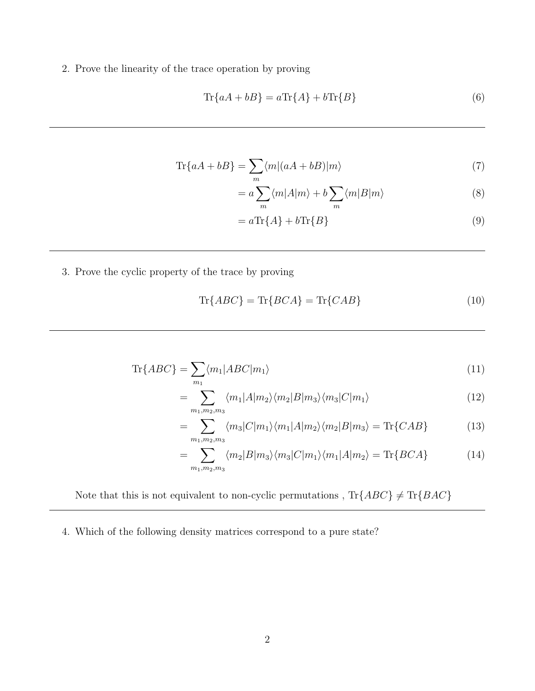2. Prove the linearity of the trace operation by proving

$$
\operatorname{Tr}\{aA + bB\} = a\operatorname{Tr}\{A\} + b\operatorname{Tr}\{B\} \tag{6}
$$

$$
\text{Tr}\{aA + bB\} = \sum_{m} \langle m | (aA + bB) | m \rangle \tag{7}
$$

$$
= a \sum_{m} \langle m | A | m \rangle + b \sum_{m} \langle m | B | m \rangle \tag{8}
$$

$$
=a\operatorname{Tr}\{A\}+b\operatorname{Tr}\{B\}\tag{9}
$$

3. Prove the cyclic property of the trace by proving

$$
\text{Tr}\{ABC\} = \text{Tr}\{BCA\} = \text{Tr}\{CAB\} \tag{10}
$$

$$
\text{Tr}\{ABC\} = \sum_{m_1} \langle m_1 | ABC | m_1 \rangle \tag{11}
$$

$$
=\sum_{m_1,m_2,m_3} \langle m_1 | A | m_2 \rangle \langle m_2 | B | m_3 \rangle \langle m_3 | C | m_1 \rangle \tag{12}
$$

$$
=\sum_{m_1,m_2,m_3} \langle m_3|C|m_1\rangle \langle m_1|A|m_2\rangle \langle m_2|B|m_3\rangle = \text{Tr}\{CAB\} \tag{13}
$$

$$
=\sum_{m_1,m_2,m_3} \langle m_2|B|m_3\rangle \langle m_3|C|m_1\rangle \langle m_1|A|m_2\rangle = \text{Tr}\{BCA\} \tag{14}
$$

Note that this is not equivalent to non-cyclic permutations ,  $\text{Tr}\{ABC\} \neq \text{Tr}\{BAC\}$ 

4. Which of the following density matrices correspond to a pure state?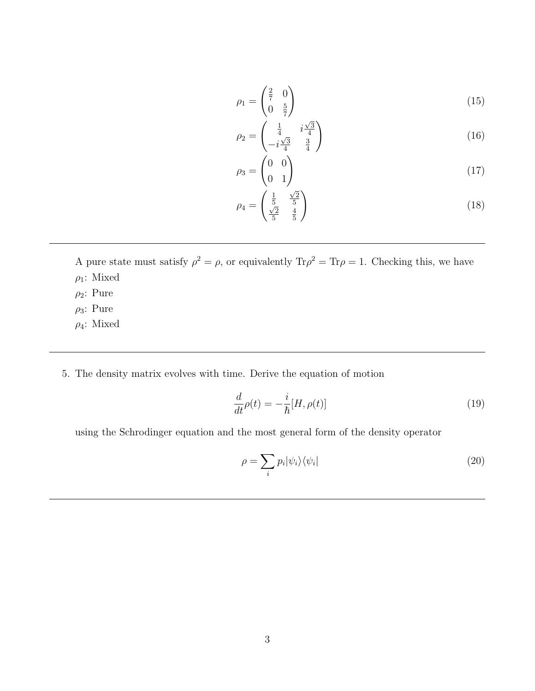$$
\rho_1 = \begin{pmatrix} \frac{2}{7} & 0\\ 0 & \frac{5}{7} \end{pmatrix} \tag{15}
$$

$$
\rho_2 = \begin{pmatrix} \frac{1}{4} & i\frac{\sqrt{3}}{4} \\ -i\frac{\sqrt{3}}{4} & \frac{3}{4} \end{pmatrix} \tag{16}
$$

$$
\rho_3 = \begin{pmatrix} 0 & 0 \\ 0 & 1 \end{pmatrix} \tag{17}
$$

$$
\rho_4 = \begin{pmatrix} \frac{1}{5} & \frac{\sqrt{2}}{5} \\ \frac{\sqrt{2}}{5} & \frac{4}{5} \end{pmatrix} \tag{18}
$$

A pure state must satisfy  $\rho^2 = \rho$ , or equivalently  $\text{Tr}\rho^2 = \text{Tr}\rho = 1$ . Checking this, we have  $\rho_1$ : Mixed

- $\rho_2$ : Pure
- $\rho_3$ : Pure
- $\rho_4$ : Mixed
- 5. The density matrix evolves with time. Derive the equation of motion

$$
\frac{d}{dt}\rho(t) = -\frac{i}{\hbar}[H,\rho(t)]\tag{19}
$$

using the Schrodinger equation and the most general form of the density operator

$$
\rho = \sum_{i} p_i |\psi_i\rangle\langle\psi_i| \tag{20}
$$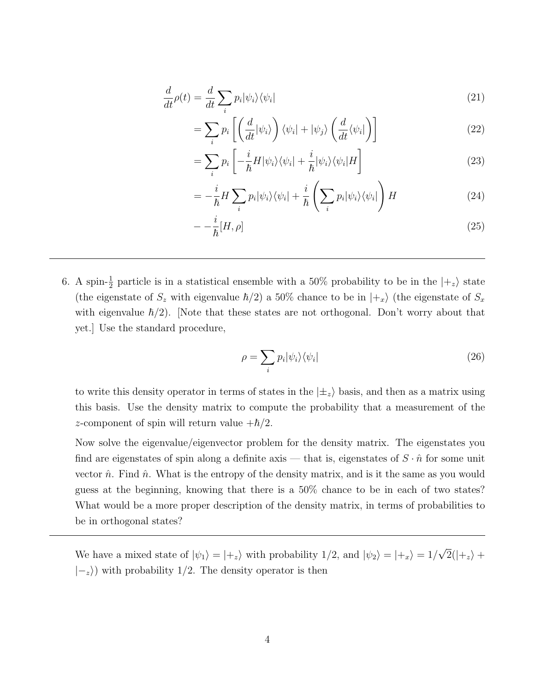$$
\frac{d}{dt}\rho(t) = \frac{d}{dt}\sum_{i} p_i |\psi_i\rangle\langle\psi_i|
$$
\n(21)

$$
= \sum_{i} p_{i} \left[ \left( \frac{d}{dt} |\psi_{i} \rangle \right) \langle \psi_{i} | + | \psi_{j} \rangle \left( \frac{d}{dt} \langle \psi_{i} | \right) \right]
$$
(22)

$$
=\sum_{i}p_{i}\left[-\frac{i}{\hbar}H|\psi_{i}\rangle\langle\psi_{i}|+\frac{i}{\hbar}|\psi_{i}\rangle\langle\psi_{i}|H\right]
$$
\n(23)

$$
= -\frac{i}{\hbar} H \sum_{i} p_{i} |\psi_{i}\rangle\langle\psi_{i}| + \frac{i}{\hbar} \left( \sum_{i} p_{i} |\psi_{i}\rangle\langle\psi_{i}| \right) H \tag{24}
$$

$$
- -\frac{i}{\hbar}[H,\rho]
$$
\n(25)

6. A spin- $\frac{1}{2}$  particle is in a statistical ensemble with a 50% probability to be in the  $|+_z\rangle$  state (the eigenstate of  $S_z$  with eigenvalue  $\hbar/2$ ) a 50% chance to be in  $|+_x\rangle$  (the eigenstate of  $S_x$ with eigenvalue  $\hbar/2$ . Note that these states are not orthogonal. Don't worry about that yet.] Use the standard procedure,

$$
\rho = \sum_{i} p_i |\psi_i\rangle\langle\psi_i| \tag{26}
$$

to write this density operator in terms of states in the  $|\pm_z\rangle$  basis, and then as a matrix using this basis. Use the density matrix to compute the probability that a measurement of the z-component of spin will return value  $+\hbar/2$ .

Now solve the eigenvalue/eigenvector problem for the density matrix. The eigenstates you find are eigenstates of spin along a definite axis — that is, eigenstates of  $S \cdot \hat{n}$  for some unit vector  $\hat{n}$ . Find  $\hat{n}$ . What is the entropy of the density matrix, and is it the same as you would guess at the beginning, knowing that there is a 50% chance to be in each of two states? What would be a more proper description of the density matrix, in terms of probabilities to be in orthogonal states?

We have a mixed state of  $|\psi_1\rangle = |+_z\rangle$  with probability  $1/2$ , and  $|\psi_2\rangle = |+_x\rangle = 1/$ √  $2(|+_z\rangle +$  $|-\rangle$ ) with probability 1/2. The density operator is then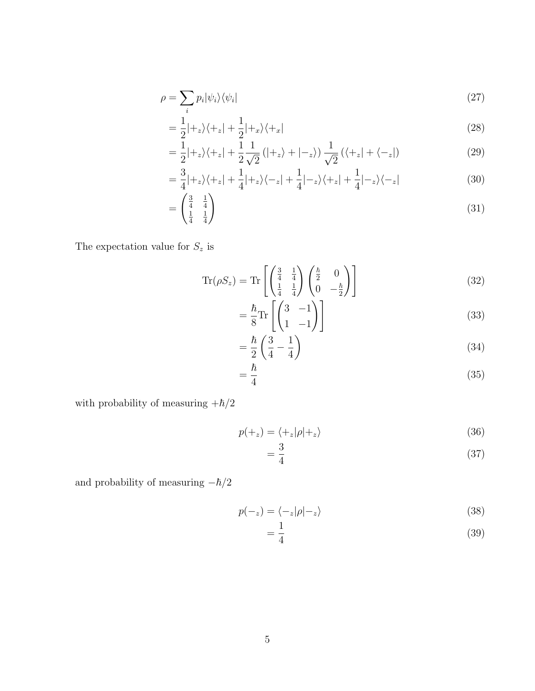$$
\rho = \sum_{i} p_i |\psi_i\rangle\langle\psi_i| \tag{27}
$$

$$
=\frac{1}{2}|+_z\rangle\langle+_z|+\frac{1}{2}|+_x\rangle\langle+_x|
$$
\n(28)

$$
=\frac{1}{2}|+_z\rangle\langle+_z|+\frac{1}{2}\frac{1}{\sqrt{2}}(|+_z\rangle+|-_z\rangle)\frac{1}{\sqrt{2}}(\langle+_z|+\langle -_z|)
$$
\n(29)

$$
=\frac{3}{4}|+_z\rangle\langle+_z|+\frac{1}{4}|+_z\rangle\langle-_z|+\frac{1}{4}|-_z\rangle\langle+_z|+\frac{1}{4}|-_z\rangle\langle-_z|
$$
\n(30)

$$
= \begin{pmatrix} \frac{3}{4} & \frac{1}{4} \\ \frac{1}{4} & \frac{1}{4} \end{pmatrix} \tag{31}
$$

The expectation value for  $S_z$  is

$$
\operatorname{Tr}(\rho S_z) = \operatorname{Tr}\left[\begin{pmatrix} \frac{3}{4} & \frac{1}{4} \\ \frac{1}{4} & \frac{1}{4} \end{pmatrix} \begin{pmatrix} \frac{\hbar}{2} & 0 \\ 0 & -\frac{\hbar}{2} \end{pmatrix}\right]
$$
(32)

$$
= \frac{\hbar}{8} \text{Tr} \left[ \begin{pmatrix} 3 & -1 \\ 1 & -1 \end{pmatrix} \right]
$$
 (33)

$$
=\frac{\hbar}{2}\left(\frac{3}{4}-\frac{1}{4}\right)
$$
\n(34)

$$
=\frac{\hbar}{4}\tag{35}
$$

with probability of measuring  $+\hbar/2$ 

$$
p(+_z) = \langle +_z | \rho | +_z \rangle \tag{36}
$$

$$
=\frac{3}{4}\tag{37}
$$

and probability of measuring  $-\hbar/2$ 

$$
p(-z) = \langle -z | \rho | -z \rangle \tag{38}
$$

$$
=\frac{1}{4}\tag{39}
$$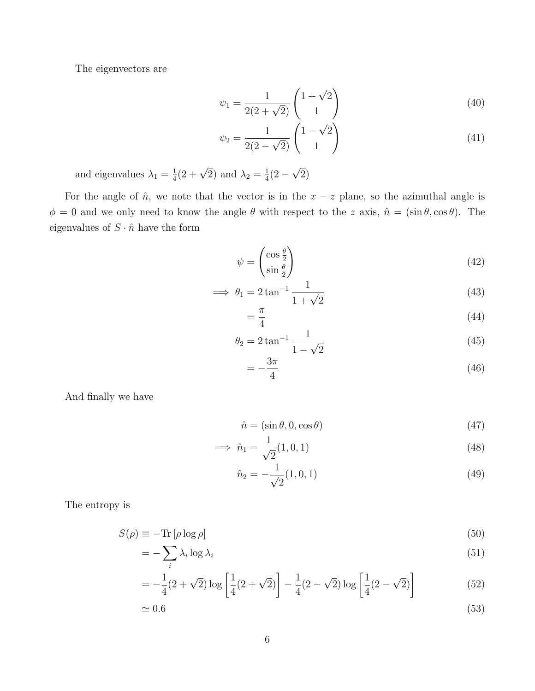The eigenvectors are

$$
\psi_1 = \frac{1}{2(2+\sqrt{2})} \begin{pmatrix} 1+\sqrt{2} \\ 1 \end{pmatrix}
$$
 (40)

$$
\psi_2 = \frac{1}{2(2-\sqrt{2})} \begin{pmatrix} 1-\sqrt{2} \\ 1 \end{pmatrix}
$$
 (41)

and eigenvalues  $\lambda_1 = \frac{1}{4}$  $\frac{1}{4}(2+\sqrt{2})$  and  $\lambda_2 = \frac{1}{4}$  $rac{1}{4}(2 -$ √ 2)

For the angle of  $\hat{n}$ , we note that the vector is in the  $x - z$  plane, so the azimuthal angle is  $\phi = 0$  and we only need to know the angle  $\theta$  with respect to the z axis,  $\hat{n} = (\sin \theta, \cos \theta)$ . The eigenvalues of  $S\cdot \hat{n}$  have the form

$$
\psi = \begin{pmatrix} \cos \frac{\theta}{2} \\ \sin \frac{\theta}{2} \end{pmatrix} \tag{42}
$$

$$
\implies \theta_1 = 2 \tan^{-1} \frac{1}{1 + \sqrt{2}} \tag{43}
$$

$$
=\frac{\pi}{4} \tag{44}
$$

$$
\theta_2 = 2 \tan^{-1} \frac{1}{1 - \sqrt{2}} \tag{45}
$$

$$
=-\frac{3\pi}{4}\tag{46}
$$

And finally we have

$$
\hat{n} = (\sin \theta, 0, \cos \theta) \tag{47}
$$

$$
\implies \hat{n}_1 = \frac{1}{\sqrt{2}}(1,0,1) \tag{48}
$$

$$
\hat{n}_2 = -\frac{1}{\sqrt{2}}(1,0,1) \tag{49}
$$

The entropy is

$$
S(\rho) \equiv -\text{Tr}\left[\rho \log \rho\right] \tag{50}
$$

$$
= -\sum_{i} \lambda_i \log \lambda_i \tag{51}
$$

$$
= -\frac{1}{4}(2+\sqrt{2})\log\left[\frac{1}{4}(2+\sqrt{2})\right] - \frac{1}{4}(2-\sqrt{2})\log\left[\frac{1}{4}(2-\sqrt{2})\right]
$$
(52)

$$
\simeq 0.6\tag{53}
$$